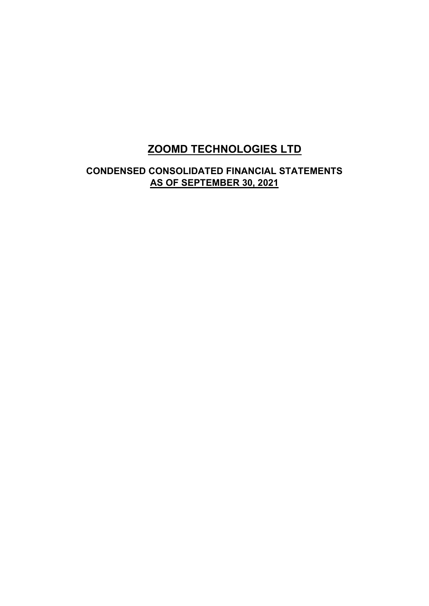# **ZOOMD TECHNOLOGIES LTD**

# **CONDENSED CONSOLIDATED FINANCIAL STATEMENTS AS OF SEPTEMBER 30, 2021**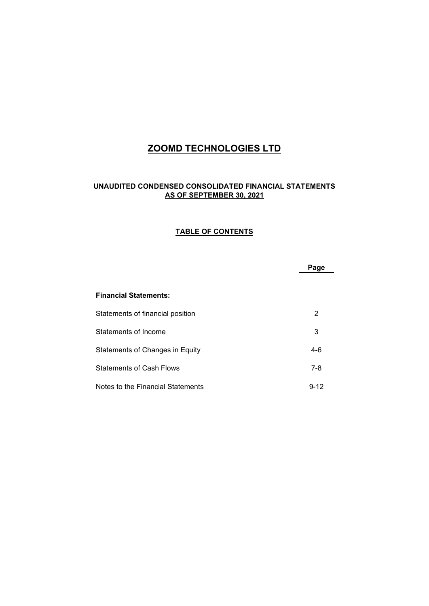# **ZOOMD TECHNOLOGIES LTD**

### **UNAUDITED CONDENSED CONSOLIDATED FINANCIAL STATEMENTS AS OF SEPTEMBER 30, 2021**

#### **TABLE OF CONTENTS**

|                                   | Page     |
|-----------------------------------|----------|
| <b>Financial Statements:</b>      |          |
| Statements of financial position  | 2        |
| Statements of Income              | 3        |
| Statements of Changes in Equity   | $4-6$    |
| <b>Statements of Cash Flows</b>   | $7 - 8$  |
| Notes to the Financial Statements | $9 - 12$ |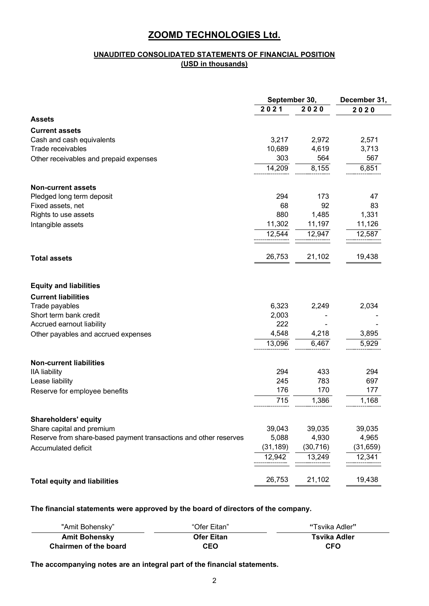### **UNAUDITED CONSOLIDATED STATEMENTS OF FINANCIAL POSITION (USD in thousands)**

|                                                                  | September 30, |           | December 31, |
|------------------------------------------------------------------|---------------|-----------|--------------|
|                                                                  | 2021          | 2020      | 2020         |
| <b>Assets</b>                                                    |               |           |              |
| <b>Current assets</b>                                            |               |           |              |
| Cash and cash equivalents                                        | 3,217         | 2,972     | 2,571        |
| Trade receivables                                                | 10,689        | 4,619     | 3,713        |
| Other receivables and prepaid expenses                           | 303           | 564       | 567          |
|                                                                  | 14,209        | 8,155     | 6,851        |
| <b>Non-current assets</b>                                        |               |           |              |
| Pledged long term deposit                                        | 294           | 173       | 47           |
| Fixed assets, net                                                | 68            | 92        | 83           |
| Rights to use assets                                             | 880           | 1,485     | 1,331        |
| Intangible assets                                                | 11,302        | 11,197    | 11,126       |
|                                                                  | 12,544        | 12,947    | 12,587       |
| <b>Total assets</b>                                              | 26,753        | 21,102    | 19,438       |
| <b>Equity and liabilities</b>                                    |               |           |              |
| <b>Current liabilities</b>                                       |               |           |              |
| Trade payables                                                   | 6,323         | 2,249     | 2,034        |
| Short term bank credit                                           | 2,003         |           |              |
| Accrued earnout liability                                        | 222           |           |              |
| Other payables and accrued expenses                              | 4,548         | 4,218     | 3,895        |
|                                                                  | 13,096        | 6,467     | 5,929        |
| <b>Non-current liabilities</b>                                   |               |           |              |
| <b>IIA liability</b>                                             | 294           | 433       | 294          |
| Lease liability                                                  | 245           | 783       | 697          |
| Reserve for employee benefits                                    | 176           | 170       | 177          |
|                                                                  | 715           | 1,386     | 1,168        |
| <b>Shareholders' equity</b>                                      |               |           |              |
| Share capital and premium                                        | 39,043        | 39,035    | 39,035       |
| Reserve from share-based payment transactions and other reserves | 5,088         | 4,930     | 4,965        |
| Accumulated deficit                                              | (31, 189)     | (30, 716) | (31, 659)    |
|                                                                  | 12,942        | 13,249    | 12,341       |
| <b>Total equity and liabilities</b>                              | 26,753        | 21,102    | 19,438       |

**The financial statements were approved by the board of directors of the company.**

| "Amit Bohenskv"       | "Ofer Eitan"      | "Tsvika Adler" |
|-----------------------|-------------------|----------------|
| <b>Amit Bohensky</b>  | <b>Ofer Eitan</b> | Tsvika Adler   |
| Chairmen of the board | CEO               | <b>CFO</b>     |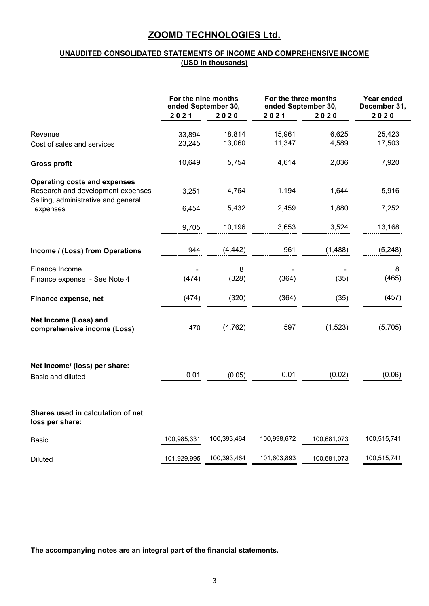### **UNAUDITED CONSOLIDATED STATEMENTS OF INCOME AND COMPREHENSIVE INCOME (USD in thousands)**

|                                                      | For the nine months<br>ended September 30, |             | For the three months<br>ended September 30, | Year ended<br>December 31, |             |
|------------------------------------------------------|--------------------------------------------|-------------|---------------------------------------------|----------------------------|-------------|
|                                                      | 2021                                       | 2020        | 2021                                        | 2020                       | 2020        |
| Revenue                                              | 33,894                                     | 18,814      | 15,961                                      | 6,625                      | 25,423      |
| Cost of sales and services                           | 23,245                                     | 13,060      | 11,347                                      | 4,589                      | 17,503      |
| <b>Gross profit</b>                                  | 10,649                                     | 5,754       | 4,614                                       | 2,036                      | 7,920       |
| <b>Operating costs and expenses</b>                  |                                            |             |                                             |                            |             |
| Research and development expenses                    | 3,251                                      | 4,764       | 1,194                                       | 1,644                      | 5,916       |
| Selling, administrative and general<br>expenses      | 6,454                                      | 5,432       | 2,459                                       | 1,880                      | 7,252       |
|                                                      | 9,705                                      | 10,196      | 3,653                                       | 3,524                      | 13,168      |
| Income / (Loss) from Operations                      | 944                                        | (4, 442)    | 961                                         | (1,488)                    | (5, 248)    |
| Finance Income                                       |                                            | 8           |                                             |                            | 8           |
| Finance expense - See Note 4                         | (474)                                      | (328)       | (364)                                       | (35)                       | (465)       |
| Finance expense, net                                 | (474)                                      | (320)       | (364)                                       | (35)                       | (457)       |
| Net Income (Loss) and<br>comprehensive income (Loss) | 470                                        | (4, 762)    | 597                                         | (1, 523)                   | (5,705)     |
| Net income/ (loss) per share:<br>Basic and diluted   | 0.01                                       | (0.05)      | 0.01                                        | (0.02)                     | (0.06)      |
| Shares used in calculation of net<br>loss per share: |                                            |             |                                             |                            |             |
|                                                      |                                            |             |                                             |                            |             |
| <b>Basic</b>                                         | 100,985,331                                | 100,393,464 | 100,998,672                                 | 100,681,073                | 100,515,741 |
| <b>Diluted</b>                                       | 101,929,995                                | 100,393,464 | 101,603,893                                 | 100,681,073                | 100,515,741 |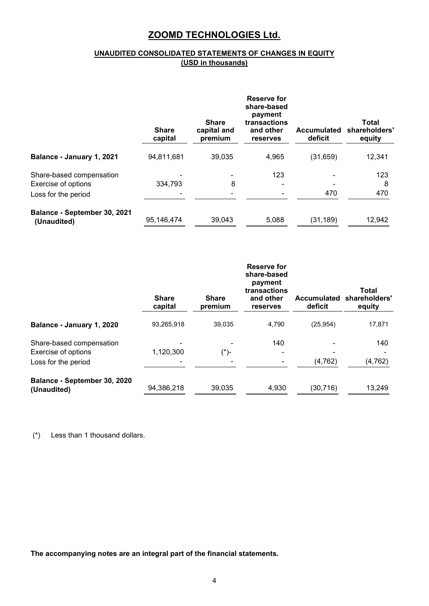### **UNAUDITED CONSOLIDATED STATEMENTS OF CHANGES IN EQUITY (USD in thousands)**

|                                             | <b>Share</b><br>capital | <b>Share</b><br>capital and<br>premium | Reserve for<br>share-based<br>payment<br>transactions<br>and other<br>reserves | <b>Accumulated</b><br>deficit | Total<br>shareholders'<br>equity |
|---------------------------------------------|-------------------------|----------------------------------------|--------------------------------------------------------------------------------|-------------------------------|----------------------------------|
| Balance - January 1, 2021                   | 94,811,681              | 39,035                                 | 4,965                                                                          | (31, 659)                     | 12,341                           |
| Share-based compensation                    |                         |                                        | 123                                                                            |                               | 123                              |
| <b>Exercise of options</b>                  | 334,793                 | 8                                      |                                                                                |                               | 8                                |
| Loss for the period                         |                         |                                        |                                                                                | 470                           | 470                              |
| Balance - September 30, 2021<br>(Unaudited) | 95,146,474              | 39,043                                 | 5,088                                                                          | (31, 189)                     | 12,942                           |

|                                                 | <b>Share</b><br>capital | <b>Share</b><br>premium | <b>Reserve for</b><br>share-based<br>payment<br>transactions<br>and other<br>reserves | <b>Accumulated</b><br>deficit | Total<br>shareholders'<br>equity |
|-------------------------------------------------|-------------------------|-------------------------|---------------------------------------------------------------------------------------|-------------------------------|----------------------------------|
| Balance - January 1, 2020                       | 93,265,918              | 39,035                  | 4,790                                                                                 | (25, 954)                     | 17,871                           |
| Share-based compensation<br>Exercise of options | 1,120,300               | (*)-                    | 140                                                                                   |                               | 140                              |
| Loss for the period                             |                         |                         |                                                                                       | (4, 762)                      | (4, 762)                         |
| Balance - September 30, 2020<br>(Unaudited)     | 94,386,218              | 39,035                  | 4,930                                                                                 | (30, 716)                     | 13,249                           |

(\*) Less than 1 thousand dollars.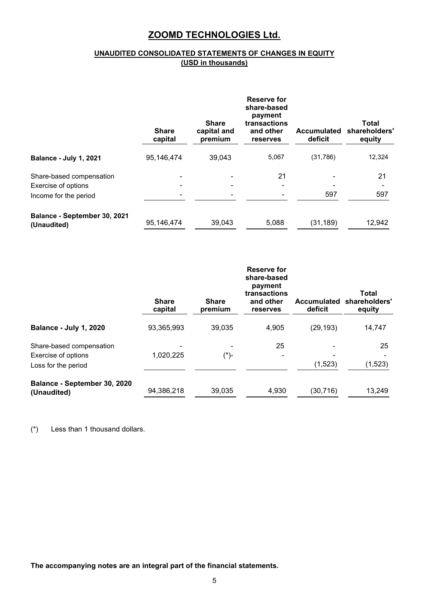### **UNAUDITED CONSOLIDATED STATEMENTS OF CHANGES IN EQUITY (USD in thousands)**

|                                                                          | <b>Share</b><br>capital | <b>Share</b><br>capital and<br>premium | <b>Reserve for</b><br>share-based<br>payment<br>transactions<br>and other<br>reserves | <b>Accumulated</b><br>deficit | Total<br>shareholders'<br>equity |
|--------------------------------------------------------------------------|-------------------------|----------------------------------------|---------------------------------------------------------------------------------------|-------------------------------|----------------------------------|
| Balance - July 1, 2021                                                   | 95,146,474              | 39,043                                 | 5,067                                                                                 | (31, 786)                     | 12,324                           |
| Share-based compensation<br>Exercise of options<br>Income for the period |                         |                                        | 21                                                                                    | 597                           | 21<br>597                        |
| Balance - September 30, 2021<br>(Unaudited)                              | 95,146,474              | 39,043                                 | 5,088                                                                                 | (31, 189)                     | 12,942                           |

|                                                                        | <b>Share</b><br>capital | <b>Share</b><br>premium | Reserve for<br>share-based<br>payment<br>transactions<br>and other<br>reserves | <b>Accumulated</b><br>deficit | Total<br>shareholders'<br>equity |
|------------------------------------------------------------------------|-------------------------|-------------------------|--------------------------------------------------------------------------------|-------------------------------|----------------------------------|
| <b>Balance - July 1, 2020</b>                                          | 93,365,993              | 39,035                  | 4,905                                                                          | (29, 193)                     | 14,747                           |
| Share-based compensation<br>Exercise of options<br>Loss for the period | 1,020,225               | (*)-                    | 25                                                                             | (1,523)                       | 25<br>(1, 523)                   |
| Balance - September 30, 2020<br>(Unaudited)                            | 94,386,218              | 39,035                  | 4,930                                                                          | (30, 716)                     | 13,249                           |

(\*) Less than 1 thousand dollars.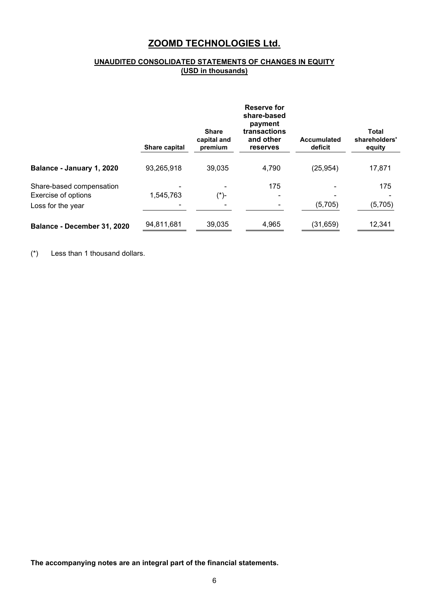### **UNAUDITED CONSOLIDATED STATEMENTS OF CHANGES IN EQUITY (USD in thousands)**

|                                                                      | Share capital | <b>Share</b><br>capital and<br>premium | Reserve for<br>share-based<br>payment<br>transactions<br>and other<br>reserves | <b>Accumulated</b><br>deficit | <b>Total</b><br>shareholders'<br>equity |
|----------------------------------------------------------------------|---------------|----------------------------------------|--------------------------------------------------------------------------------|-------------------------------|-----------------------------------------|
| Balance - January 1, 2020                                            | 93,265,918    | 39,035                                 | 4,790                                                                          | (25, 954)                     | 17,871                                  |
| Share-based compensation<br>Exercise of options<br>Loss for the year | 1,545,763     | (*)-                                   | 175                                                                            | (5,705)                       | 175<br>(5,705)                          |
| Balance - December 31, 2020                                          | 94,811,681    | 39,035                                 | 4,965                                                                          | (31, 659)                     | 12,341                                  |

(\*) Less than 1 thousand dollars.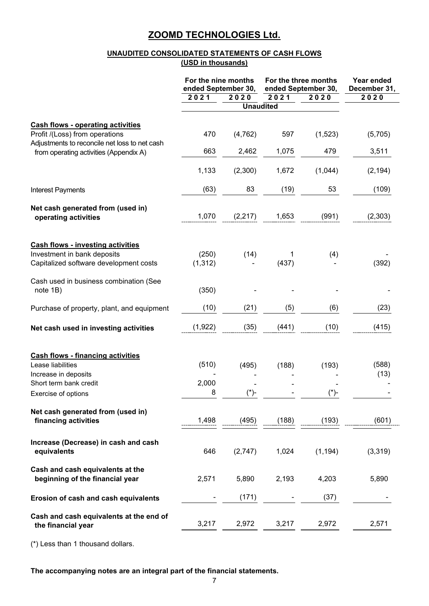### **UNAUDITED CONSOLIDATED STATEMENTS OF CASH FLOWS (USD in thousands)**

|                                                                                 | For the nine months<br>ended September 30, |          |                  | For the three months<br>ended September 30, | Year ended<br>December 31, |
|---------------------------------------------------------------------------------|--------------------------------------------|----------|------------------|---------------------------------------------|----------------------------|
|                                                                                 | 2021                                       | 2020     | 2021             | 2020                                        | 2020                       |
|                                                                                 |                                            |          | <b>Unaudited</b> |                                             |                            |
| <b>Cash flows - operating activities</b>                                        |                                            |          |                  |                                             |                            |
| Profit /(Loss) from operations<br>Adjustments to reconcile net loss to net cash | 470                                        | (4, 762) | 597              | (1,523)                                     | (5,705)                    |
| from operating activities (Appendix A)                                          | 663                                        | 2,462    | 1,075            | 479                                         | 3,511                      |
|                                                                                 | 1,133                                      | (2,300)  | 1,672            | (1,044)                                     | (2, 194)                   |
| Interest Payments                                                               | (63)                                       | 83       | (19)             | 53                                          | (109)                      |
| Net cash generated from (used in)                                               |                                            |          |                  |                                             |                            |
| operating activities                                                            | 1,070                                      | (2, 217) | 1,653            | (991)                                       | (2,303)                    |
|                                                                                 |                                            |          |                  |                                             |                            |
| <b>Cash flows - investing activities</b><br>Investment in bank deposits         | (250)                                      | (14)     | 1                | (4)                                         |                            |
| Capitalized software development costs                                          | (1, 312)                                   |          | (437)            |                                             | (392)                      |
|                                                                                 |                                            |          |                  |                                             |                            |
| Cash used in business combination (See<br>note 1B)                              | (350)                                      |          |                  |                                             |                            |
| Purchase of property, plant, and equipment                                      | (10)                                       | (21)     | (5)              | (6)                                         | (23)                       |
| Net cash used in investing activities                                           | (1, 922)                                   | (35)     | (441)            | (10)                                        | (415)                      |
|                                                                                 |                                            |          |                  |                                             |                            |
| <b>Cash flows - financing activities</b><br>Lease liabilities                   | (510)                                      | (495)    | (188)            | (193)                                       | (588)                      |
| Increase in deposits                                                            |                                            |          |                  |                                             | (13)                       |
| Short term bank credit                                                          | 2,000                                      |          |                  |                                             |                            |
| Exercise of options                                                             | 8                                          | $(*)$ -  |                  | $(*)$ -                                     |                            |
| Net cash generated from (used in)                                               |                                            |          |                  |                                             |                            |
| financing activities                                                            | 1,498                                      | (495)    | (188)            | (193)                                       | (601)                      |
| Increase (Decrease) in cash and cash                                            |                                            |          |                  |                                             |                            |
| equivalents                                                                     | 646                                        | (2,747)  | 1,024            | (1, 194)                                    | (3,319)                    |
| Cash and cash equivalents at the<br>beginning of the financial year             | 2,571                                      | 5,890    | 2,193            | 4,203                                       | 5,890                      |
| Erosion of cash and cash equivalents                                            |                                            | (171)    |                  | (37)                                        |                            |
|                                                                                 |                                            |          |                  |                                             |                            |
| Cash and cash equivalents at the end of<br>the financial year                   | 3,217                                      | 2,972    | 3,217            | 2,972                                       | 2,571                      |

(\*) Less than 1 thousand dollars.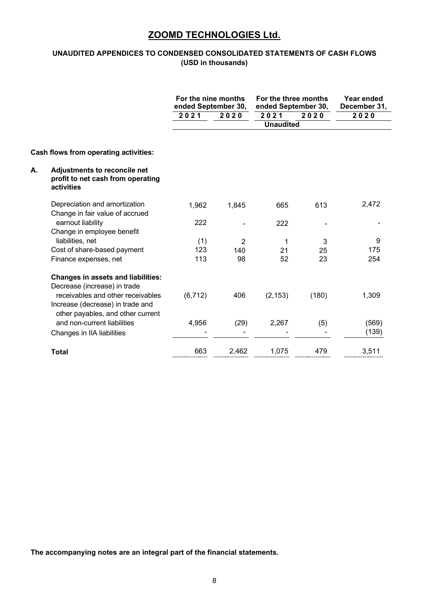### **UNAUDITED APPENDICES TO CONDENSED CONSOLIDATED STATEMENTS OF CASH FLOWS (USD in thousands)**

|    |                                                                                 | For the nine months<br>ended September 30, |                | For the three months<br>ended September 30, | Year ended<br>December 31, |       |
|----|---------------------------------------------------------------------------------|--------------------------------------------|----------------|---------------------------------------------|----------------------------|-------|
|    |                                                                                 | 2021                                       | 2020           | 2021<br><b>Unaudited</b>                    | 2020                       | 2020  |
|    |                                                                                 |                                            |                |                                             |                            |       |
|    | Cash flows from operating activities:                                           |                                            |                |                                             |                            |       |
| А. | Adjustments to reconcile net<br>profit to net cash from operating<br>activities |                                            |                |                                             |                            |       |
|    | Depreciation and amortization                                                   | 1,962                                      | 1,845          | 665                                         | 613                        | 2,472 |
|    | Change in fair value of accrued<br>earnout liability                            | 222                                        |                | 222                                         |                            |       |
|    | Change in employee benefit<br>liabilities, net                                  | (1)                                        | $\overline{2}$ | 1                                           | 3                          | 9     |
|    | Cost of share-based payment                                                     | 123                                        | 140            | 21                                          | 25                         | 175   |
|    | Finance expenses, net                                                           | 113                                        | 98             | 52                                          | 23                         | 254   |
|    | <b>Changes in assets and liabilities:</b><br>Decrease (increase) in trade       |                                            |                |                                             |                            |       |
|    | receivables and other receivables<br>Increase (decrease) in trade and           | (6, 712)                                   | 406            | (2, 153)                                    | (180)                      | 1,309 |
|    | other payables, and other current<br>and non-current liabilities                | 4,956                                      | (29)           | 2,267                                       | (5)                        | (569) |
|    | Changes in IIA liabilities                                                      |                                            |                |                                             |                            | (139) |
|    | <b>Total</b>                                                                    | 663                                        | 2,462          | 1,075                                       | 479                        | 3,511 |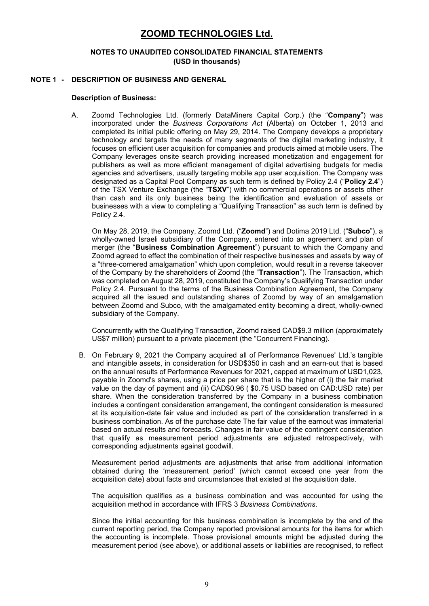#### **NOTES TO UNAUDITED CONSOLIDATED FINANCIAL STATEMENTS (USD in thousands)**

### **NOTE 1 - DESCRIPTION OF BUSINESS AND GENERAL**

#### **Description of Business:**

A. Zoomd Technologies Ltd. (formerly DataMiners Capital Corp.) (the "**Company**") was incorporated under the *Business Corporations Act* (Alberta) on October 1, 2013 and completed its initial public offering on May 29, 2014. The Company develops a proprietary technology and targets the needs of many segments of the digital marketing industry, it focuses on efficient user acquisition for companies and products aimed at mobile users. The Company leverages onsite search providing increased monetization and engagement for publishers as well as more efficient management of digital advertising budgets for media agencies and advertisers, usually targeting mobile app user acquisition. The Company was designated as a Capital Pool Company as such term is defined by Policy 2.4 ("**Policy 2.4**") of the TSX Venture Exchange (the "**TSXV**") with no commercial operations or assets other than cash and its only business being the identification and evaluation of assets or businesses with a view to completing a "Qualifying Transaction" as such term is defined by Policy 2.4.

On May 28, 2019, the Company, Zoomd Ltd. ("**Zoomd**") and Dotima 2019 Ltd. ("**Subco**"), a wholly-owned Israeli subsidiary of the Company, entered into an agreement and plan of merger (the "**Business Combination Agreement**") pursuant to which the Company and Zoomd agreed to effect the combination of their respective businesses and assets by way of a "three-cornered amalgamation" which upon completion, would result in a reverse takeover of the Company by the shareholders of Zoomd (the "**Transaction**"). The Transaction, which was completed on August 28, 2019, constituted the Company's Qualifying Transaction under Policy 2.4. Pursuant to the terms of the Business Combination Agreement, the Company acquired all the issued and outstanding shares of Zoomd by way of an amalgamation between Zoomd and Subco, with the amalgamated entity becoming a direct, wholly-owned subsidiary of the Company.

Concurrently with the Qualifying Transaction, Zoomd raised CAD\$9.3 million (approximately US\$7 million) pursuant to a private placement (the "Concurrent Financing).

B. On February 9, 2021 the Company acquired all of Performance Revenues' Ltd.'s tangible and intangible assets, in consideration for USD\$350 in cash and an earn-out that is based on the annual results of Performance Revenues for 2021, capped at maximum of USD1,023, payable in Zoomd's shares, using a price per share that is the higher of (i) the fair market value on the day of payment and (ii) CAD\$0.96 ( \$0.75 USD based on CAD:USD rate) per share. When the consideration transferred by the Company in a business combination includes a contingent consideration arrangement, the contingent consideration is measured at its acquisition-date fair value and included as part of the consideration transferred in a business combination. As of the purchase date The fair value of the earnout was immaterial based on actual results and forecasts. Changes in fair value of the contingent consideration that qualify as measurement period adjustments are adjusted retrospectively, with corresponding adjustments against goodwill.

Measurement period adjustments are adjustments that arise from additional information obtained during the 'measurement period' (which cannot exceed one year from the acquisition date) about facts and circumstances that existed at the acquisition date.

The acquisition qualifies as a business combination and was accounted for using the acquisition method in accordance with IFRS 3 *Business Combinations*.

Since the initial accounting for this business combination is incomplete by the end of the current reporting period, the Company reported provisional amounts for the items for which the accounting is incomplete. Those provisional amounts might be adjusted during the measurement period (see above), or additional assets or liabilities are recognised, to reflect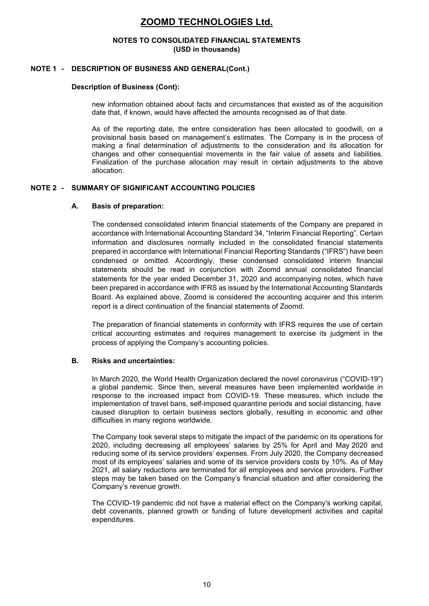#### **NOTES TO CONSOLIDATED FINANCIAL STATEMENTS (USD in thousands)**

#### **NOTE 1 - DESCRIPTION OF BUSINESS AND GENERAL(Cont.)**

#### **Description of Business (Cont):**

new information obtained about facts and circumstances that existed as of the acquisition date that, if known, would have affected the amounts recognised as of that date.

As of the reporting date, the entire consideration has been allocated to goodwill, on a provisional basis based on management's estimates. The Company is in the process of making a final determination of adjustments to the consideration and its allocation for changes and other consequential movements in the fair value of assets and liabilities. Finalization of the purchase allocation may result in certain adjustments to the above allocation.

#### **NOTE 2 - SUMMARY OF SIGNIFICANT ACCOUNTING POLICIES**

#### **A. Basis of preparation:**

The condensed consolidated interim financial statements of the Company are prepared in accordance with International Accounting Standard 34, "Interim Financial Reporting". Certain information and disclosures normally included in the consolidated financial statements prepared in accordance with International Financial Reporting Standards ("IFRS") have been condensed or omitted. Accordingly, these condensed consolidated interim financial statements should be read in conjunction with Zoomd annual consolidated financial statements for the year ended December 31, 2020 and accompanying notes, which have been prepared in accordance with IFRS as issued by the International Accounting Standards Board. As explained above, Zoomd is considered the accounting acquirer and this interim report is a direct continuation of the financial statements of Zoomd.

The preparation of financial statements in conformity with IFRS requires the use of certain critical accounting estimates and requires management to exercise its judgment in the process of applying the Company's accounting policies.

#### **B. Risks and uncertainties:**

In March 2020, the World Health Organization declared the novel coronavirus ("COVID-19") a global pandemic. Since then, several measures have been implemented worldwide in response to the increased impact from COVID-19. These measures, which include the implementation of travel bans, self-imposed quarantine periods and social distancing, have caused disruption to certain business sectors globally, resulting in economic and other difficulties in many regions worldwide.

The Company took several steps to mitigate the impact of the pandemic on its operations for 2020, including decreasing all employees' salaries by 25% for April and May 2020 and reducing some of its service providers' expenses. From July 2020, the Company decreased most of its employees' salaries and some of its service providers costs by 10%. As of May 2021, all salary reductions are terminated for all employees and service providers. Further steps may be taken based on the Company's financial situation and after considering the Company's revenue growth.

The COVID-19 pandemic did not have a material effect on the Company's working capital, debt covenants, planned growth or funding of future development activities and capital expenditures.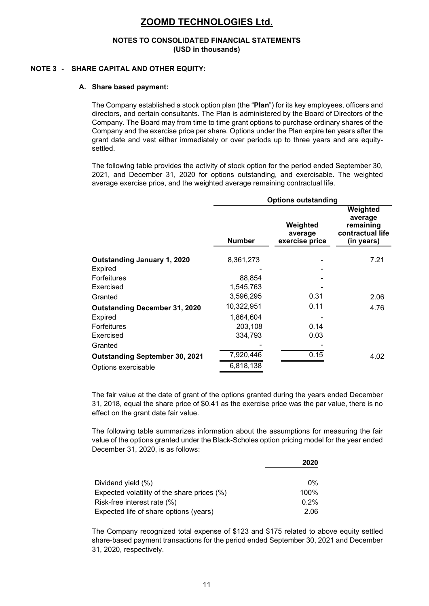#### **NOTES TO CONSOLIDATED FINANCIAL STATEMENTS (USD in thousands)**

#### **NOTE 3 - SHARE CAPITAL AND OTHER EQUITY:**

#### **A. Share based payment:**

The Company established a stock option plan (the "**Plan**") for its key employees, officers and directors, and certain consultants. The Plan is administered by the Board of Directors of the Company. The Board may from time to time grant options to purchase ordinary shares of the Company and the exercise price per share. Options under the Plan expire ten years after the grant date and vest either immediately or over periods up to three years and are equitysettled.

The following table provides the activity of stock option for the period ended September 30, 2021, and December 31, 2020 for options outstanding, and exercisable. The weighted average exercise price, and the weighted average remaining contractual life.

| <b>Options outstanding</b> |                                       |                                                                    |  |  |
|----------------------------|---------------------------------------|--------------------------------------------------------------------|--|--|
| <b>Number</b>              | Weighted<br>average<br>exercise price | Weighted<br>average<br>remaining<br>contractual life<br>(in years) |  |  |
| 8,361,273                  |                                       | 7.21                                                               |  |  |
| 88,854                     |                                       |                                                                    |  |  |
| 1,545,763                  |                                       |                                                                    |  |  |
| 3,596,295                  | 0.31                                  | 2.06                                                               |  |  |
| 10,322,951                 | 0.11                                  | 4.76                                                               |  |  |
| 1,864,604                  |                                       |                                                                    |  |  |
| 203,108                    | 0.14                                  |                                                                    |  |  |
| 334,793                    | 0.03                                  |                                                                    |  |  |
|                            |                                       |                                                                    |  |  |
| 7,920,446                  | 0.15                                  | 4.02                                                               |  |  |
| 6,818,138                  |                                       |                                                                    |  |  |
|                            |                                       |                                                                    |  |  |

The fair value at the date of grant of the options granted during the years ended December 31, 2018, equal the share price of \$0.41 as the exercise price was the par value, there is no effect on the grant date fair value.

The following table summarizes information about the assumptions for measuring the fair value of the options granted under the Black-Scholes option pricing model for the year ended December 31, 2020, is as follows:

|                                             | 2020  |
|---------------------------------------------|-------|
|                                             |       |
| Dividend yield (%)                          | $0\%$ |
| Expected volatility of the share prices (%) | 100%  |
| Risk-free interest rate (%)                 | 0.2%  |
| Expected life of share options (years)      | 2.06  |

The Company recognized total expense of \$123 and \$175 related to above equity settled share-based payment transactions for the period ended September 30, 2021 and December 31, 2020, respectively.